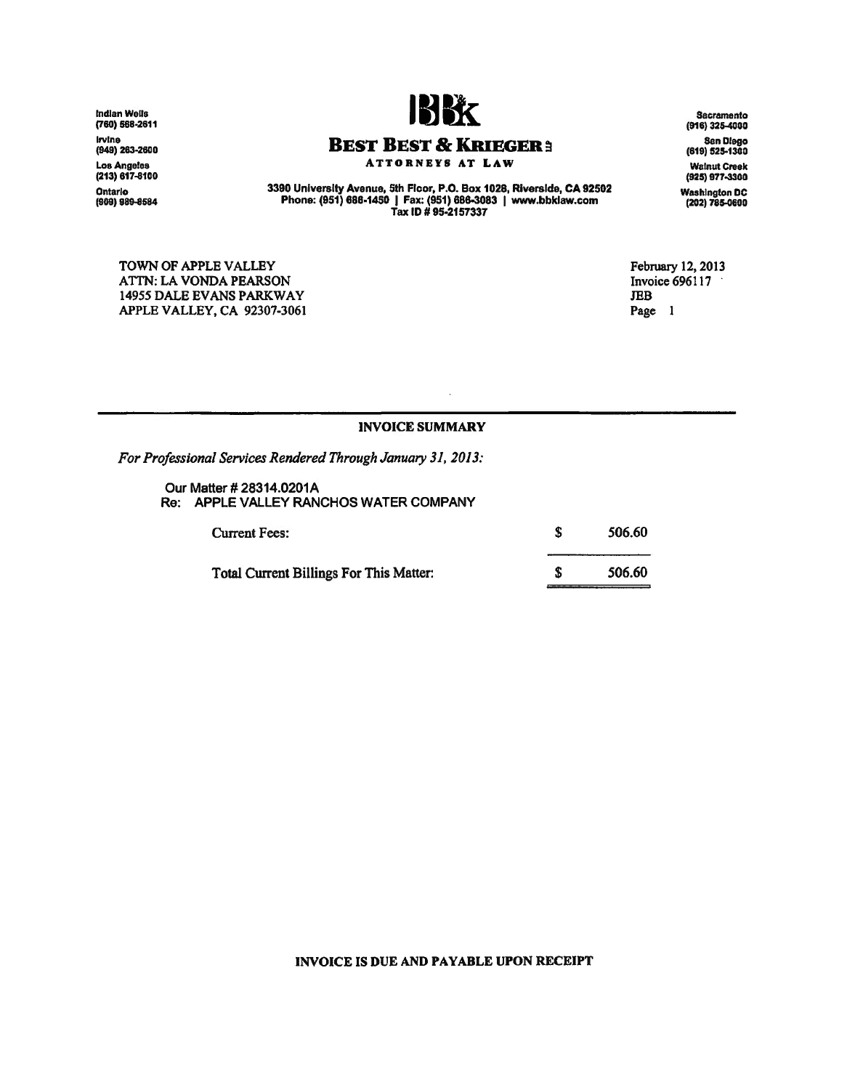Indian Wells (760) 568-2811 Irvine<br>(949) 263-260 Los Angeles<br>(213) 617-810( Ontario (909) 989-8584



**BEST BEST & KRIEGER:** ATTORNEYS AT LAW

3390 University Avenue, 5th Floor, P.O. Box 1028, Riverside, CA 92502 ou University Avenue, 5th Floor, P.O. Box 1026, Riversitae, CA:<br>Phone: (951) 686-1450 | Fax: (951) 686-3083 | www.bbklaw.co<br>Tax ID # 95-2157337

TOWN OF APPLE VALLEY AITN: LA VONDA PEARSON 14955 DALE EVANS PARKWAY APPLE VALLEY, CA 92307-3061

Sacramento<br>(916) 325-4000 San Diego (819) 525-1300 Walnut Creel<br>125(925) 977-330 Washington DC (202) 785-04100

February 12, 2013 Invoice 696117 JEB Page 1

## INVOICE SUMMARY

*For Professional Services Rendered Through January* 31, *2013:*

Our Matter # 28314.0201A Re: APPLE VALLEY RANCHOS WATER COMPANY

| <b>Current Fees:</b>                    | 506.60 |
|-----------------------------------------|--------|
| Total Current Billings For This Matter: | 506.60 |

## INVOICE IS DUE AND PAYABLE UPON RECEIPT